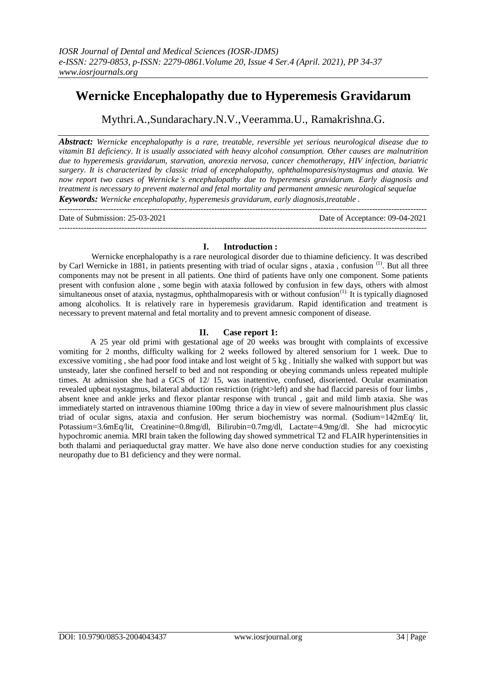# **Wernicke Encephalopathy due to Hyperemesis Gravidarum**

Mythri.A.,Sundarachary.N.V.,Veeramma.U., Ramakrishna.G.

*Abstract: Wernicke encephalopathy is a rare, treatable, reversible yet serious neurological disease due to vitamin B1 deficiency. It is usually associated with heavy alcohol consumption. Other causes are malnutrition due to hyperemesis gravidarum, starvation, anorexia nervosa, cancer chemotherapy, HIV infection, bariatric surgery. It is characterized by classic triad of encephalopathy, ophthalmoparesis/nystagmus and ataxia. We now report two cases of Wernicke's encephalopathy due to hyperemesis gravidarum. Early diagnosis and treatment is necessary to prevent maternal and fetal mortality and permanent amnesic neurological sequelae Keywords: Wernicke encephalopathy, hyperemesis gravidarum, early diagnosis,treatable .* ---------------------------------------------------------------------------------------------------------------------------------------

Date of Submission: 25-03-2021 Date of Acceptance: 09-04-2021 ---------------------------------------------------------------------------------------------------------------------------------------

### **I. Introduction :**

Wernicke encephalopathy is a rare neurological disorder due to thiamine deficiency. It was described by Carl Wernicke in 1881, in patients presenting with triad of ocular signs, ataxia, confusion <sup>(1)</sup>. But all three components may not be present in all patients. One third of patients have only one component. Some patients present with confusion alone , some begin with ataxia followed by confusion in few days, others with almost  $\sin$ ultaneous onset of ataxia, nystagmus, ophthalmoparesis with or without confusion<sup>(1)</sup> It is typically diagnosed among alcoholics. It is relatively rare in hyperemesis gravidarum. Rapid identification and treatment is necessary to prevent maternal and fetal mortality and to prevent amnesic component of disease.

## **II. Case report 1:**

A 25 year old primi with gestational age of 20 weeks was brought with complaints of excessive vomiting for 2 months, difficulty walking for 2 weeks followed by altered sensorium for 1 week. Due to excessive vomiting , she had poor food intake and lost weight of 5 kg . Initially she walked with support but was unsteady, later she confined herself to bed and not responding or obeying commands unless repeated multiple times. At admission she had a GCS of 12/ 15, was inattentive, confused, disoriented. Ocular examination revealed upbeat nystagmus, bilateral abduction restriction (right>left) and she had flaccid paresis of four limbs , absent knee and ankle jerks and flexor plantar response with truncal , gait and mild limb ataxia. She was immediately started on intravenous thiamine 100mg thrice a day in view of severe malnourishment plus classic triad of ocular signs, ataxia and confusion. Her serum biochemistry was normal. (Sodium=142mEq/ lit, Potassium=3.6mEq/lit, Creatinine=0.8mg/dl, Bilirubin=0.7mg/dl, Lactate=4.9mg/dl. She had microcytic hypochromic anemia. MRI brain taken the following day showed symmetrical T2 and FLAIR hyperintensities in both thalami and periaqueductal gray matter. We have also done nerve conduction studies for any coexisting neuropathy due to B1 deficiency and they were normal.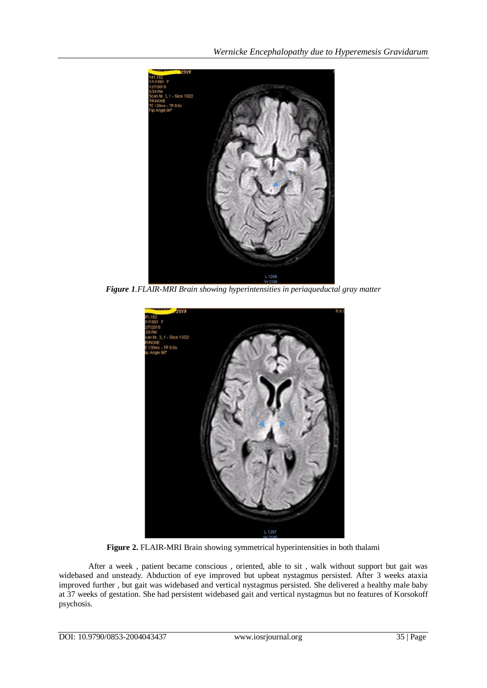*Wernicke Encephalopathy due to Hyperemesis Gravidarum*



*Figure 1.FLAIR-MRI Brain showing hyperintensities in periaqueductal gray matter*



**Figure 2.** FLAIR-MRI Brain showing symmetrical hyperintensities in both thalami

After a week , patient became conscious , oriented, able to sit , walk without support but gait was widebased and unsteady. Abduction of eye improved but upbeat nystagmus persisted. After 3 weeks ataxia improved further , but gait was widebased and vertical nystagmus persisted. She delivered a healthy male baby at 37 weeks of gestation. She had persistent widebased gait and vertical nystagmus but no features of Korsokoff psychosis.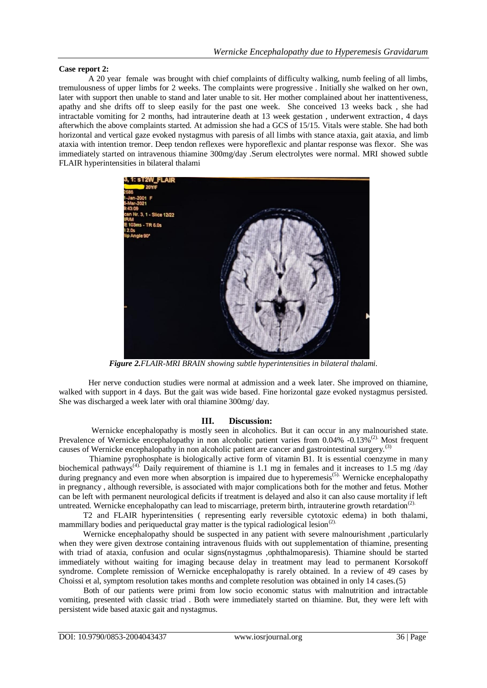#### **Case report 2:**

A 20 year female was brought with chief complaints of difficulty walking, numb feeling of all limbs, tremulousness of upper limbs for 2 weeks. The complaints were progressive . Initially she walked on her own, later with support then unable to stand and later unable to sit. Her mother complained about her inattentiveness, apathy and she drifts off to sleep easily for the past one week. She conceived 13 weeks back , she had intractable vomiting for 2 months, had intrauterine death at 13 week gestation , underwent extraction, 4 days afterwhich the above complaints started. At admission she had a GCS of 15/15. Vitals were stable. She had both horizontal and vertical gaze evoked nystagmus with paresis of all limbs with stance ataxia, gait ataxia, and limb ataxia with intention tremor. Deep tendon reflexes were hyporeflexic and plantar response was flexor. She was immediately started on intravenous thiamine 300mg/day .Serum electrolytes were normal. MRI showed subtle FLAIR hyperintensities in bilateral thalami



*Figure 2.FLAIR-MRI BRAIN showing subtle hyperintensities in bilateral thalami.*

Her nerve conduction studies were normal at admission and a week later. She improved on thiamine, walked with support in 4 days. But the gait was wide based. Fine horizontal gaze evoked nystagmus persisted. She was discharged a week later with oral thiamine 300mg/ day.

#### **III. Discussion:**

 Wernicke encephalopathy is mostly seen in alcoholics. But it can occur in any malnourished state. Prevalence of Wernicke encephalopathy in non alcoholic patient varies from  $0.04\%$  -0.13%<sup>(2)</sup>. Most frequent causes of Wernicke encephalopathy in non alcoholic patient are cancer and gastrointestinal surgery.<sup>(3)</sup>

 Thiamine pyrophosphate is biologically active form of vitamin B1. It is essential coenzyme in many biochemical pathways<sup>(4)</sup>. Daily requirement of thiamine is 1.1 mg in females and it increases to 1.5 mg /day during pregnancy and even more when absorption is impaired due to hyperemesis<sup>(5).</sup> Wernicke encephalopathy in pregnancy , although reversible, is associated with major complications both for the mother and fetus. Mother can be left with permanent neurological deficits if treatment is delayed and also it can also cause mortality if left untreated. Wernicke encephalopathy can lead to miscarriage, preterm birth, intrauterine growth retardation<sup>(2).</sup>

 T2 and FLAIR hyperintensities ( representing early reversible cytotoxic edema) in both thalami, mammillary bodies and periqueductal gray matter is the typical radiological lesion<sup>(2).</sup>

Wernicke encephalopathy should be suspected in any patient with severe malnourishment, particularly when they were given dextrose containing intravenous fluids with out supplementation of thiamine, presenting with triad of ataxia, confusion and ocular signs(nystagmus ,ophthalmoparesis). Thiamine should be started immediately without waiting for imaging because delay in treatment may lead to permanent Korsokoff syndrome. Complete remission of Wernicke encephalopathy is rarely obtained. In a review of 49 cases by Choissi et al, symptom resolution takes months and complete resolution was obtained in only 14 cases.(5)

 Both of our patients were primi from low socio economic status with malnutrition and intractable vomiting, presented with classic triad . Both were immediately started on thiamine. But, they were left with persistent wide based ataxic gait and nystagmus.